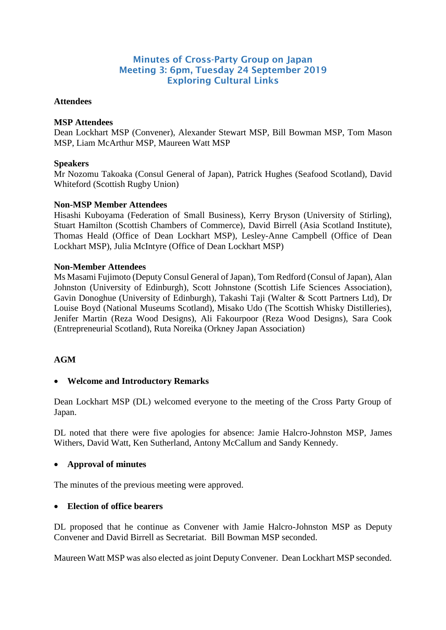# Minutes of Cross-Party Group on Japan Meeting 3: 6pm, Tuesday 24 September 2019 Exploring Cultural Links

## **Attendees**

## **MSP Attendees**

Dean Lockhart MSP (Convener), Alexander Stewart MSP, Bill Bowman MSP, Tom Mason MSP, Liam McArthur MSP, Maureen Watt MSP

## **Speakers**

Mr Nozomu Takoaka (Consul General of Japan), Patrick Hughes (Seafood Scotland), David Whiteford (Scottish Rugby Union)

## **Non-MSP Member Attendees**

Hisashi Kuboyama (Federation of Small Business), Kerry Bryson (University of Stirling), Stuart Hamilton (Scottish Chambers of Commerce), David Birrell (Asia Scotland Institute), Thomas Heald (Office of Dean Lockhart MSP), Lesley-Anne Campbell (Office of Dean Lockhart MSP), Julia McIntyre (Office of Dean Lockhart MSP)

## **Non-Member Attendees**

Ms Masami Fujimoto (Deputy Consul General of Japan), Tom Redford (Consul of Japan), Alan Johnston (University of Edinburgh), Scott Johnstone (Scottish Life Sciences Association), Gavin Donoghue (University of Edinburgh), Takashi Taji (Walter & Scott Partners Ltd), Dr Louise Boyd (National Museums Scotland), Misako Udo (The Scottish Whisky Distilleries), Jenifer Martin (Reza Wood Designs), Ali Fakourpoor (Reza Wood Designs), Sara Cook (Entrepreneurial Scotland), Ruta Noreika (Orkney Japan Association)

## **AGM**

## • **Welcome and Introductory Remarks**

Dean Lockhart MSP (DL) welcomed everyone to the meeting of the Cross Party Group of Japan.

DL noted that there were five apologies for absence: Jamie Halcro-Johnston MSP, James Withers, David Watt, Ken Sutherland, Antony McCallum and Sandy Kennedy.

## • **Approval of minutes**

The minutes of the previous meeting were approved.

#### • **Election of office bearers**

DL proposed that he continue as Convener with Jamie Halcro-Johnston MSP as Deputy Convener and David Birrell as Secretariat. Bill Bowman MSP seconded.

Maureen Watt MSP was also elected asjoint Deputy Convener. Dean Lockhart MSP seconded.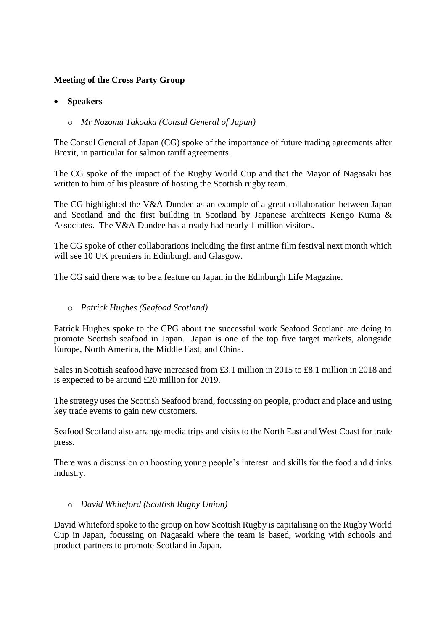# **Meeting of the Cross Party Group**

## • **Speakers**

# o *Mr Nozomu Takoaka (Consul General of Japan)*

The Consul General of Japan (CG) spoke of the importance of future trading agreements after Brexit, in particular for salmon tariff agreements.

The CG spoke of the impact of the Rugby World Cup and that the Mayor of Nagasaki has written to him of his pleasure of hosting the Scottish rugby team.

The CG highlighted the V&A Dundee as an example of a great collaboration between Japan and Scotland and the first building in Scotland by Japanese architects Kengo Kuma & Associates. The V&A Dundee has already had nearly 1 million visitors.

The CG spoke of other collaborations including the first anime film festival next month which will see 10 UK premiers in Edinburgh and Glasgow.

The CG said there was to be a feature on Japan in the Edinburgh Life Magazine.

## o *Patrick Hughes (Seafood Scotland)*

Patrick Hughes spoke to the CPG about the successful work Seafood Scotland are doing to promote Scottish seafood in Japan. Japan is one of the top five target markets, alongside Europe, North America, the Middle East, and China.

Sales in Scottish seafood have increased from £3.1 million in 2015 to £8.1 million in 2018 and is expected to be around £20 million for 2019.

The strategy uses the Scottish Seafood brand, focussing on people, product and place and using key trade events to gain new customers.

Seafood Scotland also arrange media trips and visits to the North East and West Coast for trade press.

There was a discussion on boosting young people's interest and skills for the food and drinks industry.

## o *David Whiteford (Scottish Rugby Union)*

David Whiteford spoke to the group on how Scottish Rugby is capitalising on the Rugby World Cup in Japan, focussing on Nagasaki where the team is based, working with schools and product partners to promote Scotland in Japan.